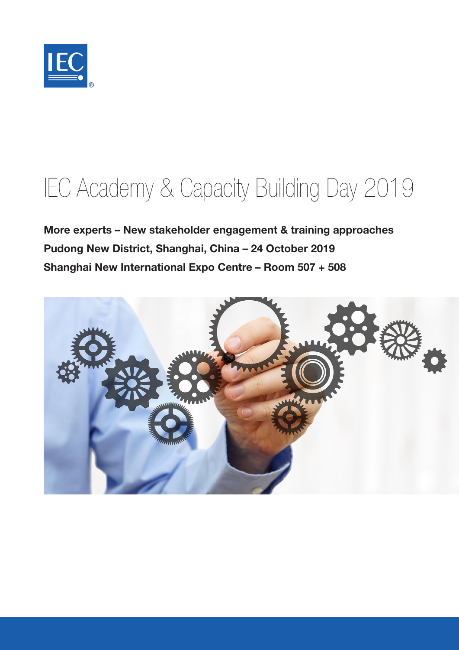

# IEC Academy & Capacity Building Day 2019

More experts – New stakeholder engagement & training approaches Pudong New District, Shanghai, China – 24 October 2019 Shanghai New International Expo Centre – Room 507 + 508

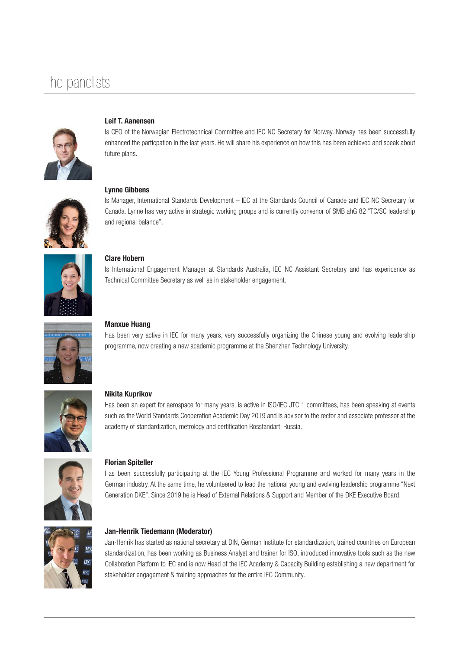### The panelists



#### Leif T. Aanensen

Is CEO of the Norwegian Electrotechnical Committee and IEC NC Secretary for Norway. Norway has been successfully enhanced the particpation in the last years. He will share his experience on how this has been achieved and speak about future plans.



Lynne Gibbens

Is Manager, International Standards Development – IEC at the Standards Council of Canade and IEC NC Secretary for Canada. Lynne has very active in strategic working groups and is currently convenor of SMB ahG 82 "TC/SC leadership and regional balance".



#### Clare Hobern

Is International Engagement Manager at Standards Australia, IEC NC Assistant Secretary and has expericence as Technical Committee Secretary as well as in stakeholder engagement.



#### Manxue Huang

Has been very active in IEC for many years, very successfully organizing the Chinese young and evolving leadership programme, now creating a new academic programme at the Shenzhen Technology University.



#### Nikita Kuprikov

Has been an expert for aerospace for many years, is active in ISO/IEC JTC 1 committees, has been speaking at events such as the World Standards Cooperation Academic Day 2019 and is advisor to the rector and associate professor at the academy of standardization, metrology and certification Rosstandart, Russia.



#### Florian Spiteller

Has been successfully participating at the IEC Young Professional Programme and worked for many years in the German industry. At the same time, he volunteered to lead the national young and evolving leadership programme "Next Generation DKE". Since 2019 he is Head of External Relations & Support and Member of the DKE Executive Board.



#### Jan-Henrik Tiedemann (Moderator)

Jan-Henrik has started as national secretary at DIN, German Institute for standardization, trained countries on European standardization, has been working as Business Analyst and trainer for ISO, introduced innovative tools such as the new Collabration Platform to IEC and is now Head of the IEC Academy & Capacity Building establishing a new department for stakeholder engagement & training approaches for the entire IEC Community.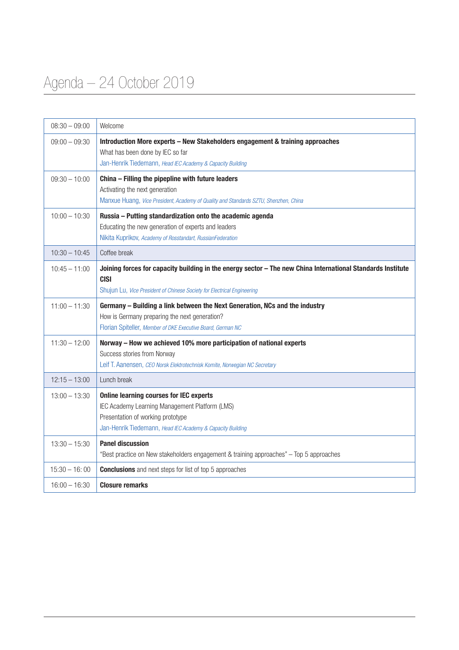## Agenda – 24 October 2019

| $08:30 - 09:00$ | Welcome                                                                                                                                                                                               |
|-----------------|-------------------------------------------------------------------------------------------------------------------------------------------------------------------------------------------------------|
| $09:00 - 09:30$ | Introduction More experts - New Stakeholders engagement & training approaches<br>What has been done by IEC so far<br>Jan-Henrik Tiedemann, Head IEC Academy & Capacity Building                       |
| $09:30 - 10:00$ | China - Filling the pipepline with future leaders<br>Activating the next generation<br>Manxue Huang, Vice President, Academy of Quality and Standards SZTU, Shenzhen, China                           |
| $10:00 - 10:30$ | Russia - Putting standardization onto the academic agenda<br>Educating the new generation of experts and leaders<br>Nikita Kuprikov, Academy of Rosstandart, RussianFederation                        |
| $10:30 - 10:45$ | Coffee break                                                                                                                                                                                          |
| $10:45 - 11:00$ | Joining forces for capacity building in the energy sector - The new China International Standards Institute<br><b>CISI</b><br>Shujun Lu, Vice President of Chinese Society for Electrical Engineering |
| $11:00 - 11:30$ | Germany - Building a link between the Next Generation, NCs and the industry<br>How is Germany preparing the next generation?<br>Florian Spiteller, Member of DKE Executive Board, German NC           |
| $11:30 - 12:00$ | Norway - How we achieved 10% more participation of national experts<br>Success stories from Norway<br>Leif T. Aanensen, CEO Norsk Elektrotechnisk Komite, Norwegian NC Secretary                      |
| $12:15 - 13:00$ | Lunch break                                                                                                                                                                                           |
| $13:00 - 13:30$ | <b>Online learning courses for IEC experts</b><br>IEC Academy Learning Management Platform (LMS)<br>Presentation of working prototype<br>Jan-Henrik Tiedemann, Head IEC Academy & Capacity Building   |
| $13:30 - 15:30$ | <b>Panel discussion</b><br>"Best practice on New stakeholders engagement & training approaches" - Top 5 approaches                                                                                    |
| $15:30 - 16:00$ | <b>Conclusions</b> and next steps for list of top 5 approaches                                                                                                                                        |
| $16:00 - 16:30$ | <b>Closure remarks</b>                                                                                                                                                                                |